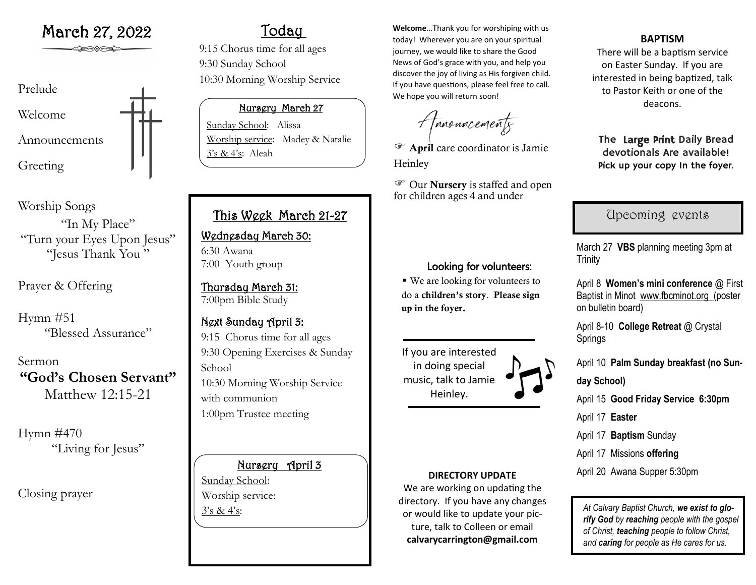

Worship Songs "In My Place" "Turn your Eyes Upon Jesus" "Jesus Thank You "

Prayer & Offering

Hymn #51 "Blessed Assurance"

Sermon **"God's Chosen Servant"** Matthew 12:15-21

Hymn #470 "Living for Jesus"

Closing prayer

# Today

9:15 Chorus time for all ages 9:30 Sunday School 10:30 Morning Worship Service

## Nursery March 27

Sunday School: Alissa Worship service: Madey & Natalie 3's & 4's: Aleah

## This Week March 21-27

Wednesday March 30: 6:30 Awana 7:00 Youth group

Thursday March 31: 7:00pm Bible Study

Next Sunday April 3: 9:15 Chorus time for all ages 9:30 Opening Exercises & Sunday School 10:30 Morning Worship Service with communion 1:00pm Trustee meeting

## Nursery April 3

Sunday School: Worship service:

**March 27, 2022** Today Welcome...Thank you for worshiping with us today! Wherever you are on your spiritual journey, we would like to share the Good News of God's grace with you, and help you discover the joy of living as His forgiven child. If you have questions, please feel free to call. We hope you will return soon!

Amouncements

 April care coordinator is Jamie Heinley

 Our Nursery is staffed and open for children ages 4 and under

## Looking for volunteers:

■ We are looking for volunteers to do a children's story. Please sign up in the foyer.

If you are interested in doing special music, talk to Jamie Heinley.

## **DIRECTORY UPDATE**

We are working on updating the directory. If you have any changes or would like to update your picture, talk to Colleen or email **calvarycarrington@gmail.com**

## **BAPTISM**

There will be a baptism service on Easter Sunday. If you are interested in being baptized, talk to Pastor Keith or one of the deacons.

The Large Print Daily Bread devotionals Are available! Pick up your copy In the foyer.

## Upcoming events

March 27 **VBS** planning meeting 3pm at **Trinity** 

April 8 **Women's mini conference** @ First Baptist in Minot www.fbcminot.org (poster on bulletin board)

April 8-10 **College Retreat** @ Crystal Springs

April 10 **Palm Sunday breakfast (no Sun-**

**day School)**

April 15 **Good Friday Service 6:30pm**

April 17 **Easter**

April 17 **Baptism** Sunday

April 17 Missions **offering**

April 20 Awana Supper 5:30pm

3's & 4's:<br>ar would like to undate your pic. At Calvary Baptist Church, we exist to glo*rify God by reaching people with the gospel of Christ, teaching people to follow Christ, and caring for people as He cares for us.*